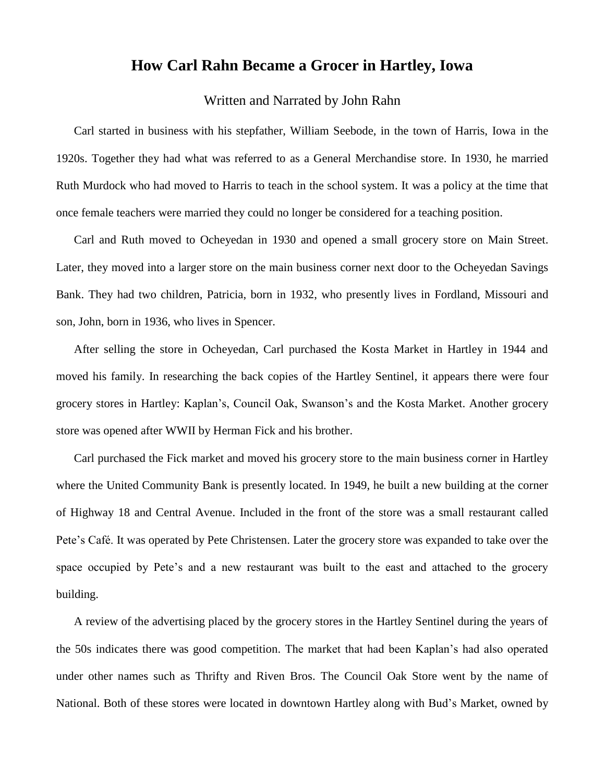## **How Carl Rahn Became a Grocer in Hartley, Iowa**

## Written and Narrated by John Rahn

Carl started in business with his stepfather, William Seebode, in the town of Harris, Iowa in the 1920s. Together they had what was referred to as a General Merchandise store. In 1930, he married Ruth Murdock who had moved to Harris to teach in the school system. It was a policy at the time that once female teachers were married they could no longer be considered for a teaching position.

Carl and Ruth moved to Ocheyedan in 1930 and opened a small grocery store on Main Street. Later, they moved into a larger store on the main business corner next door to the Ocheyedan Savings Bank. They had two children, Patricia, born in 1932, who presently lives in Fordland, Missouri and son, John, born in 1936, who lives in Spencer.

After selling the store in Ocheyedan, Carl purchased the Kosta Market in Hartley in 1944 and moved his family. In researching the back copies of the Hartley Sentinel, it appears there were four grocery stores in Hartley: Kaplan's, Council Oak, Swanson's and the Kosta Market. Another grocery store was opened after WWII by Herman Fick and his brother.

Carl purchased the Fick market and moved his grocery store to the main business corner in Hartley where the United Community Bank is presently located. In 1949, he built a new building at the corner of Highway 18 and Central Avenue. Included in the front of the store was a small restaurant called Pete's Café. It was operated by Pete Christensen. Later the grocery store was expanded to take over the space occupied by Pete's and a new restaurant was built to the east and attached to the grocery building.

A review of the advertising placed by the grocery stores in the Hartley Sentinel during the years of the 50s indicates there was good competition. The market that had been Kaplan's had also operated under other names such as Thrifty and Riven Bros. The Council Oak Store went by the name of National. Both of these stores were located in downtown Hartley along with Bud's Market, owned by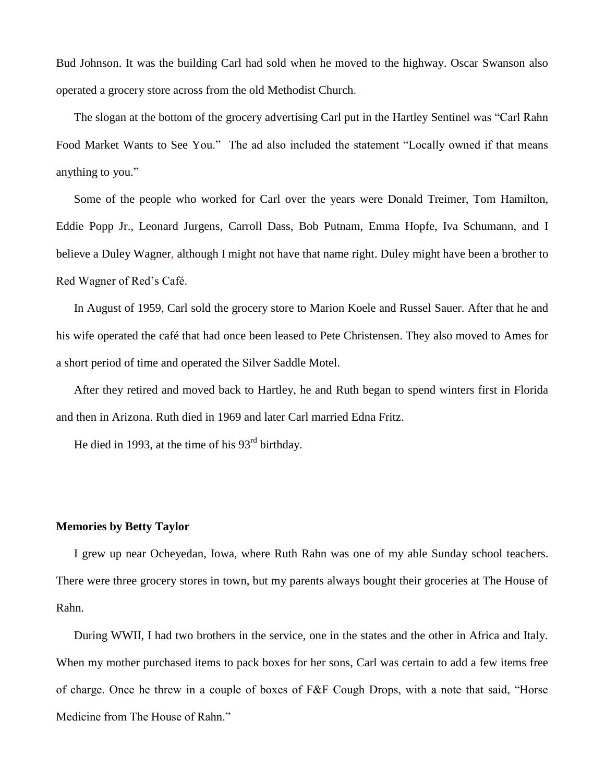Bud Johnson. It was the building Carl had sold when he moved to the highway. Oscar Swanson also operated a grocery store across from the old Methodist Church.

The slogan at the bottom of the grocery advertising Carl put in the Hartley Sentinel was "Carl Rahn Food Market Wants to See You." The ad also included the statement "Locally owned if that means anything to you."

Some of the people who worked for Carl over the years were Donald Treimer, Tom Hamilton, Eddie Popp Jr., Leonard Jurgens, Carroll Dass, Bob Putnam, Emma Hopfe, Iva Schumann, and I believe a Duley Wagner, although I might not have that name right. Duley might have been a brother to Red Wagner of Red's Café.

In August of 1959, Carl sold the grocery store to Marion Koele and Russel Sauer. After that he and his wife operated the café that had once been leased to Pete Christensen. They also moved to Ames for a short period of time and operated the Silver Saddle Motel.

After they retired and moved back to Hartley, he and Ruth began to spend winters first in Florida and then in Arizona. Ruth died in 1969 and later Carl married Edna Fritz.

He died in 1993, at the time of his 93<sup>rd</sup> birthday.

## **Memories by Betty Taylor**

I grew up near Ocheyedan, Iowa, where Ruth Rahn was one of my able Sunday school teachers. There were three grocery stores in town, but my parents always bought their groceries at The House of Rahn.

During WWII, I had two brothers in the service, one in the states and the other in Africa and Italy. When my mother purchased items to pack boxes for her sons, Carl was certain to add a few items free of charge. Once he threw in a couple of boxes of F&F Cough Drops, with a note that said, "Horse Medicine from The House of Rahn."